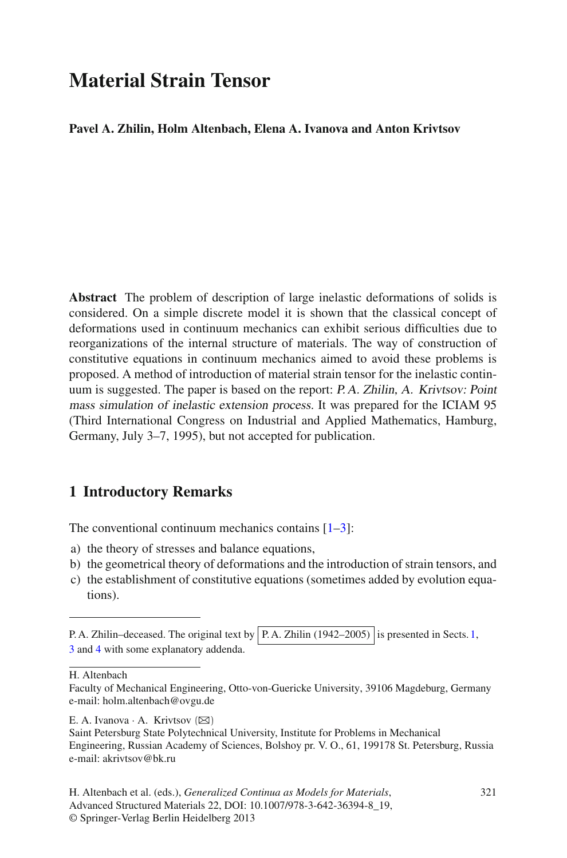# **Material Strain Tensor**

#### **Pavel A. Zhilin, Holm Altenbach, Elena A. Ivanova and Anton Krivtsov**

**Abstract** The problem of description of large inelastic deformations of solids is considered. On a simple discrete model it is shown that the classical concept of deformations used in continuum mechanics can exhibit serious difficulties due to reorganizations of the internal structure of materials. The way of construction of constitutive equations in continuum mechanics aimed to avoid these problems is proposed. A method of introduction of material strain tensor for the inelastic continuum is suggested. The paper is based on the report: P. A. Zhilin, A. Krivtsov: Point mass simulation of inelastic extension process. It was prepared for the ICIAM 95 (Third International Congress on Industrial and Applied Mathematics, Hamburg, Germany, July 3–7, 1995), but not accepted for publication.

### <span id="page-0-0"></span>**1 Introductory Remarks**

The conventional continuum mechanics contains  $[1-3]$  $[1-3]$ :

- a) the theory of stresses and balance equations,
- b) the geometrical theory of deformations and the introduction of strain tensors, and
- c) the establishment of constitutive equations (sometimes added by evolution equations).

H. Altenbach

E. A. Ivanova · A. Krivtsov  $(\boxtimes)$ 

P. A. Zhilin–deceased. The original text by  $|P.A.$  Zhilin (1942–2005) is presented in Sects. [1,](#page-0-0) [3](#page-3-0) and [4](#page-5-0) with some explanatory addenda.

Faculty of Mechanical Engineering, Otto-von-Guericke University, 39106 Magdeburg, Germany e-mail: holm.altenbach@ovgu.de

Saint Petersburg State Polytechnical University, Institute for Problems in Mechanical Engineering, Russian Academy of Sciences, Bolshoy pr. V. O., 61, 199178 St. Petersburg, Russia e-mail: akrivtsov@bk.ru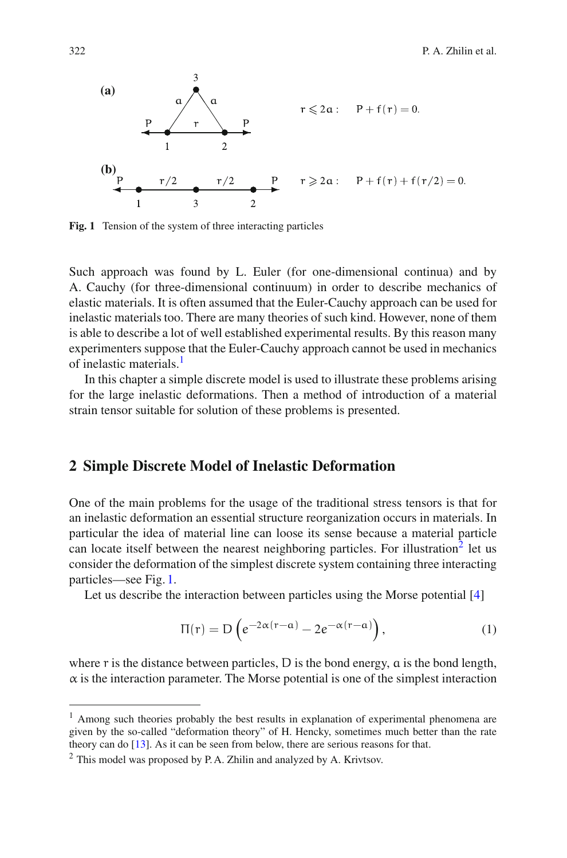

<span id="page-1-2"></span>**Fig. 1** Tension of the system of three interacting particles

Such approach was found by L. Euler (for one-dimensional continua) and by A. Cauchy (for three-dimensional continuum) in order to describe mechanics of elastic materials. It is often assumed that the Euler-Cauchy approach can be used for inelastic materials too. There are many theories of such kind. However, none of them is able to describe a lot of well established experimental results. By this reason many experimenters suppose that the Euler-Cauchy approach cannot be used in mechanics of inelastic materials.<sup>1</sup>

In this chapter a simple discrete model is used to illustrate these problems arising for the large inelastic deformations. Then a method of introduction of a material strain tensor suitable for solution of these problems is presented.

## **2 Simple Discrete Model of Inelastic Deformation**

One of the main problems for the usage of the traditional stress tensors is that for an inelastic deformation an essential structure reorganization occurs in materials. In particular the idea of material line can loose its sense because a material particle can locate itself between the nearest neighboring particles. For illustration<sup>2</sup> let us consider the deformation of the simplest discrete system containing three interacting particles—see Fig. [1.](#page-1-2)

Let us describe the interaction between particles using the Morse potential [\[4](#page-9-2)]

$$
\Pi(r) = D\left(e^{-2\alpha(r-a)} - 2e^{-\alpha(r-a)}\right),\tag{1}
$$

where  $\bar{r}$  is the distance between particles,  $\bar{D}$  is the bond energy,  $\bar{a}$  is the bond length,  $\alpha$  is the interaction parameter. The Morse potential is one of the simplest interaction

<span id="page-1-0"></span><sup>&</sup>lt;sup>1</sup> Among such theories probably the best results in explanation of experimental phenomena are given by the so-called "deformation theory" of H. Hencky, sometimes much better than the rate theory can do [\[13](#page-10-0)]. As it can be seen from below, there are serious reasons for that.

<span id="page-1-1"></span> $2$  This model was proposed by P.A. Zhilin and analyzed by A. Krivtsov.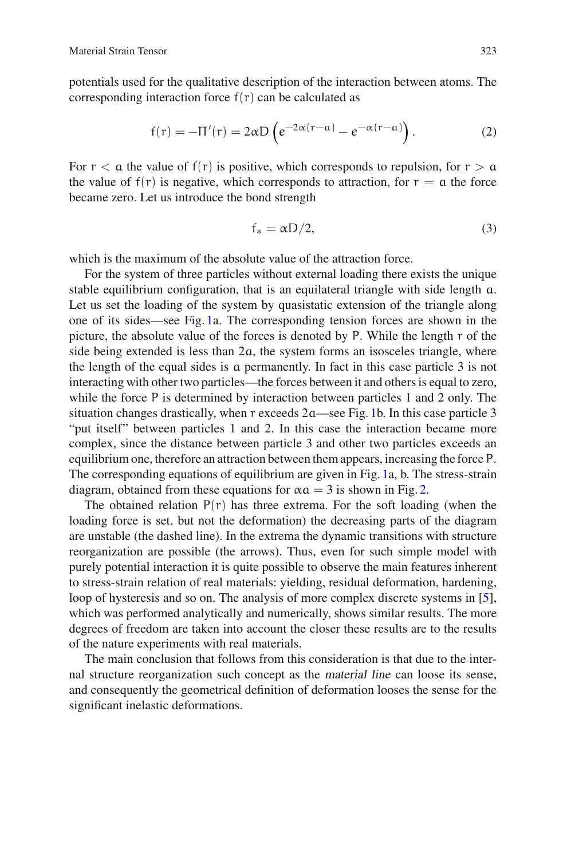potentials used for the qualitative description of the interaction between atoms. The corresponding interaction force  $f(r)$  can be calculated as

$$
f(r) = -\Pi'(r) = 2\alpha D \left( e^{-2\alpha(r-a)} - e^{-\alpha(r-a)} \right).
$$
 (2)

For  $r < a$  the value of  $f(r)$  is positive, which corresponds to repulsion, for  $r > a$ the value of  $f(r)$  is negative, which corresponds to attraction, for  $r = a$  the force became zero. Let us introduce the bond strength

$$
f_* = \alpha D/2, \tag{3}
$$

which is the maximum of the absolute value of the attraction force.

For the system of three particles without external loading there exists the unique stable equilibrium configuration, that is an equilateral triangle with side length a. Let us set the loading of the system by quasistatic extension of the triangle along one of its sides—see Fig. [1a](#page-1-2). The corresponding tension forces are shown in the picture, the absolute value of the forces is denoted by P. While the length r of the side being extended is less than 2a, the system forms an isosceles triangle, where the length of the equal sides is a permanently. In fact in this case particle 3 is not interacting with other two particles—the forces between it and others is equal to zero, while the force P is determined by interaction between particles 1 and 2 only. The situation changes drastically, when r exceeds 2a—see Fig. [1b](#page-1-2). In this case particle 3 "put itself" between particles 1 and 2. In this case the interaction became more complex, since the distance between particle 3 and other two particles exceeds an equilibrium one, therefore an attraction between them appears, increasing the force P. The corresponding equations of equilibrium are given in Fig. [1a](#page-1-2), b. The stress-strain diagram, obtained from these equations for  $\alpha a = 3$  is shown in Fig. [2.](#page-3-1)

The obtained relation  $P(r)$  has three extrema. For the soft loading (when the loading force is set, but not the deformation) the decreasing parts of the diagram are unstable (the dashed line). In the extrema the dynamic transitions with structure reorganization are possible (the arrows). Thus, even for such simple model with purely potential interaction it is quite possible to observe the main features inherent to stress-strain relation of real materials: yielding, residual deformation, hardening, loop of hysteresis and so on. The analysis of more complex discrete systems in [\[5](#page-10-1)], which was performed analytically and numerically, shows similar results. The more degrees of freedom are taken into account the closer these results are to the results of the nature experiments with real materials.

The main conclusion that follows from this consideration is that due to the internal structure reorganization such concept as the material line can loose its sense, and consequently the geometrical definition of deformation looses the sense for the significant inelastic deformations.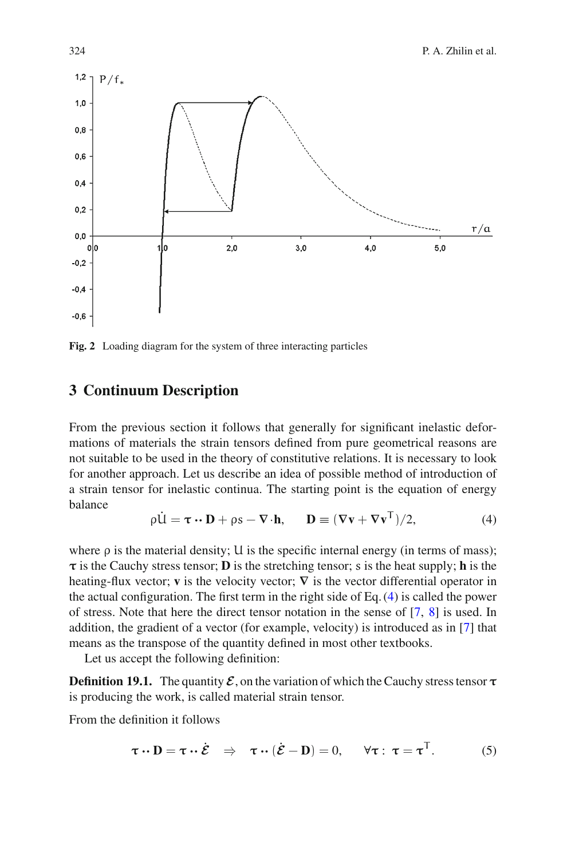

<span id="page-3-1"></span>**Fig. 2** Loading diagram for the system of three interacting particles

#### <span id="page-3-0"></span>**3 Continuum Description**

From the previous section it follows that generally for significant inelastic deformations of materials the strain tensors defined from pure geometrical reasons are not suitable to be used in the theory of constitutive relations. It is necessary to look for another approach. Let us describe an idea of possible method of introduction of a strain tensor for inelastic continua. The starting point is the equation of energy balance

$$
\rho \dot{\mathbf{U}} = \boldsymbol{\tau} \cdot \mathbf{D} + \rho \mathbf{s} - \nabla \cdot \mathbf{h}, \qquad \mathbf{D} \equiv (\nabla \mathbf{v} + \nabla \mathbf{v}^{\top})/2, \tag{4}
$$

<span id="page-3-2"></span>where  $\rho$  is the material density; U is the specific internal energy (in terms of mass);  $\tau$  is the Cauchy stress tensor; **D** is the stretching tensor; s is the heat supply; **h** is the heating-flux vector; **v** is the velocity vector;  $\nabla$  is the vector differential operator in the actual configuration. The first term in the right side of Eq. [\(4\)](#page-3-2) is called the power of stress. Note that here the direct tensor notation in the sense of [\[7](#page-10-2), [8](#page-10-3)] is used. In addition, the gradient of a vector (for example, velocity) is introduced as in [\[7](#page-10-2)] that means as the transpose of the quantity defined in most other textbooks.

Let us accept the following definition:

**Definition 19.1.** The quantity  $\mathcal{E}$ , on the variation of which the Cauchy stress tensor  $\tau$ is producing the work, is called material strain tensor.

<span id="page-3-3"></span>From the definition it follows

$$
\boldsymbol{\tau} \cdot \mathbf{D} = \boldsymbol{\tau} \cdot \boldsymbol{\dot{\mathcal{E}}} \quad \Rightarrow \quad \boldsymbol{\tau} \cdot (\boldsymbol{\dot{\mathcal{E}}} - \mathbf{D}) = 0, \qquad \forall \boldsymbol{\tau}: \ \boldsymbol{\tau} = \boldsymbol{\tau}^{\top}.
$$
 (5)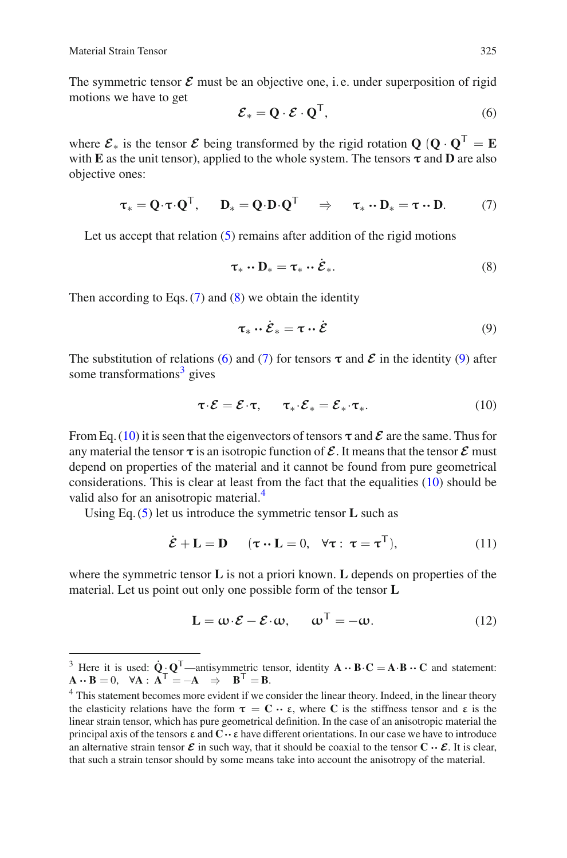<span id="page-4-2"></span>The symmetric tensor  $\mathcal E$  must be an objective one, i.e. under superposition of rigid motions we have to get

$$
\mathcal{E}_* = \mathbf{Q} \cdot \mathcal{E} \cdot \mathbf{Q}^\mathsf{T},\tag{6}
$$

<span id="page-4-0"></span>where  $\mathcal{E}_*$  is the tensor  $\mathcal{E}$  being transformed by the rigid rotation **Q**  $(\mathbf{O} \cdot \mathbf{O}^\top = \mathbf{E})$ with **E** as the unit tensor), applied to the whole system. The tensors  $\tau$  and **D** are also objective ones:

<span id="page-4-1"></span>
$$
\tau_* = \mathbf{Q} \cdot \boldsymbol{\tau} \cdot \mathbf{Q}^\top, \quad \mathbf{D}_* = \mathbf{Q} \cdot \mathbf{D} \cdot \mathbf{Q}^\top \quad \Rightarrow \quad \tau_* \cdot \mathbf{D}_* = \boldsymbol{\tau} \cdot \mathbf{D}. \tag{7}
$$

Let us accept that relation  $(5)$  remains after addition of the rigid motions

$$
\boldsymbol{\tau}_* \cdot \mathbf{D}_* = \boldsymbol{\tau}_* \cdot \boldsymbol{\dot{\mathcal{E}}}_* \tag{8}
$$

<span id="page-4-3"></span>Then according to Eqs.  $(7)$  and  $(8)$  we obtain the identity

$$
\tau_* \cdot \dot{\mathcal{E}}_* = \tau \cdot \dot{\mathcal{E}} \tag{9}
$$

<span id="page-4-5"></span>The substitution of relations [\(6\)](#page-4-2) and [\(7\)](#page-4-0) for tensors  $\tau$  and  $\mathcal E$  in the identity [\(9\)](#page-4-3) after some transformations $3$  gives

$$
\tau \cdot \mathcal{E} = \mathcal{E} \cdot \tau, \qquad \tau_* \cdot \mathcal{E}_* = \mathcal{E}_* \cdot \tau_*.
$$
 (10)

From Eq. [\(10\)](#page-4-5) it is seen that the eigenvectors of tensors  $\tau$  and  $\mathcal E$  are the same. Thus for any material the tensor  $\tau$  is an isotropic function of  $\mathcal E$ . It means that the tensor  $\mathcal E$  must depend on properties of the material and it cannot be found from pure geometrical considerations. This is clear at least from the fact that the equalities [\(10\)](#page-4-5) should be valid also for an anisotropic material.<sup>4</sup>

<span id="page-4-7"></span>Using Eq. [\(5\)](#page-3-3) let us introduce the symmetric tensor **L** such as

$$
\dot{\mathcal{E}} + \mathbf{L} = \mathbf{D} \qquad (\boldsymbol{\tau} \cdot \mathbf{L} = 0, \quad \forall \boldsymbol{\tau} : \boldsymbol{\tau} = \boldsymbol{\tau}^{\mathrm{T}}), \tag{11}
$$

<span id="page-4-8"></span>where the symmetric tensor **L** is not a priori known. **L** depends on properties of the material. Let us point out only one possible form of the tensor **L**

$$
\mathbf{L} = \mathbf{\omega} \cdot \mathbf{\mathcal{E}} - \mathbf{\mathcal{E}} \cdot \mathbf{\omega}, \qquad \mathbf{\omega}^{\top} = -\mathbf{\omega}.
$$
 (12)

<span id="page-4-4"></span><sup>&</sup>lt;sup>3</sup> Here it is used:  $\dot{Q} \cdot Q^T$ —antisymmetric tensor, identity  $A \cdot B \cdot C = A \cdot B \cdot C$  and statement:  $A \cdot B = 0$ .  $\forall A : A^T = -A \Rightarrow B^T = B$ .

<span id="page-4-6"></span><sup>&</sup>lt;sup>4</sup> This statement becomes more evident if we consider the linear theory. Indeed, in the linear theory the elasticity relations have the form  $\tau = \mathbf{C} \cdot \mathbf{e}$ , where **C** is the stiffness tensor and  $\mathbf{e}$  is the linear strain tensor, which has pure geometrical definition. In the case of an anisotropic material the principal axis of the tensors  $\varepsilon$  and  $\mathbf{C} \cdot \varepsilon$  have different orientations. In our case we have to introduce an alternative strain tensor  $\mathcal{E}$  in such way, that it should be coaxial to the tensor  $\mathbf{C} \cdot \mathcal{E}$ . It is clear, that such a strain tensor should by some means take into account the anisotropy of the material.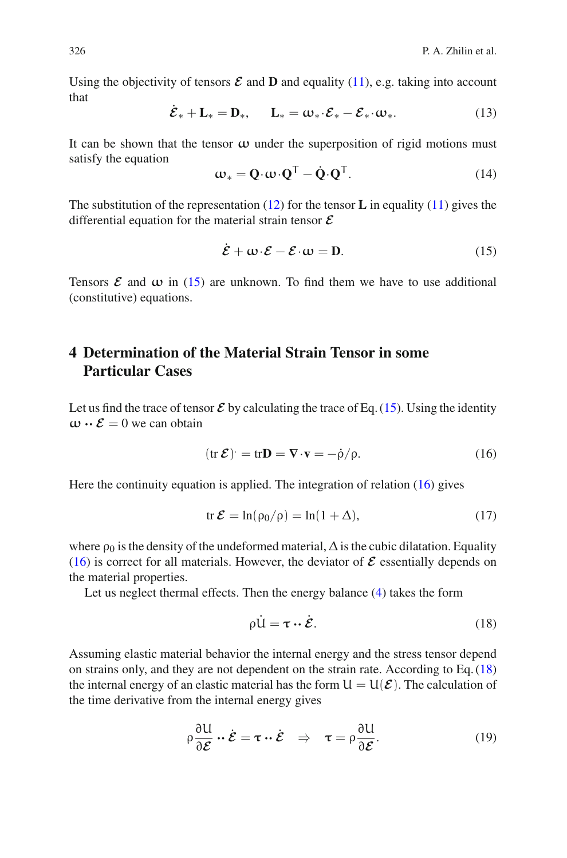Using the objectivity of tensors  $\mathcal E$  and  $D$  and equality [\(11\)](#page-4-7), e.g. taking into account that

$$
\mathcal{E}_* + \mathbf{L}_* = \mathbf{D}_*, \qquad \mathbf{L}_* = \boldsymbol{\omega}_* \cdot \mathcal{E}_* - \mathcal{E}_* \cdot \boldsymbol{\omega}_* . \tag{13}
$$

It can be shown that the tensor **ω** under the superposition of rigid motions must satisfy the equation

$$
\mathbf{\omega}_{*} = \mathbf{Q} \cdot \mathbf{\omega} \cdot \mathbf{Q}^{\mathsf{T}} - \dot{\mathbf{Q}} \cdot \mathbf{Q}^{\mathsf{T}}.
$$
 (14)

<span id="page-5-1"></span>The substitution of the representation [\(12\)](#page-4-8) for the tensor **L** in equality [\(11\)](#page-4-7) gives the differential equation for the material strain tensor *E*

$$
\dot{\mathcal{E}} + \omega \cdot \mathcal{E} - \mathcal{E} \cdot \omega = D. \tag{15}
$$

Tensors  $\mathcal E$  and  $\omega$  in [\(15\)](#page-5-1) are unknown. To find them we have to use additional (constitutive) equations.

## <span id="page-5-0"></span>**4 Determination of the Material Strain Tensor in some Particular Cases**

<span id="page-5-2"></span>Let us find the trace of tensor  $\mathcal E$  by calculating the trace of Eq. [\(15\)](#page-5-1). Using the identity  $\omega \cdot \mathcal{E} = 0$  we can obtain

$$
(\operatorname{tr} \mathcal{E}) = \operatorname{tr} \mathbf{D} = \nabla \cdot \mathbf{v} = -\dot{\rho}/\rho. \tag{16}
$$

Here the continuity equation is applied. The integration of relation [\(16\)](#page-5-2) gives

$$
\operatorname{tr} \mathcal{E} = \ln(\rho_0/\rho) = \ln(1+\Delta),\tag{17}
$$

where  $\rho_0$  is the density of the undeformed material,  $\Delta$  is the cubic dilatation. Equality [\(16\)](#page-5-2) is correct for all materials. However, the deviator of  $\mathcal E$  essentially depends on the material properties.

<span id="page-5-3"></span>Let us neglect thermal effects. Then the energy balance [\(4\)](#page-3-2) takes the form

$$
\rho \dot{\mathbf{u}} = \boldsymbol{\tau} \cdot \dot{\boldsymbol{\mathcal{E}}}.
$$
 (18)

Assuming elastic material behavior the internal energy and the stress tensor depend on strains only, and they are not dependent on the strain rate. According to Eq. [\(18\)](#page-5-3) the internal energy of an elastic material has the form  $U = U(\mathcal{E})$ . The calculation of the time derivative from the internal energy gives

$$
\rho \frac{\partial U}{\partial \mathcal{E}} \cdot \dot{\mathcal{E}} = \tau \cdot \dot{\mathcal{E}} \quad \Rightarrow \quad \tau = \rho \frac{\partial U}{\partial \mathcal{E}}.
$$
 (19)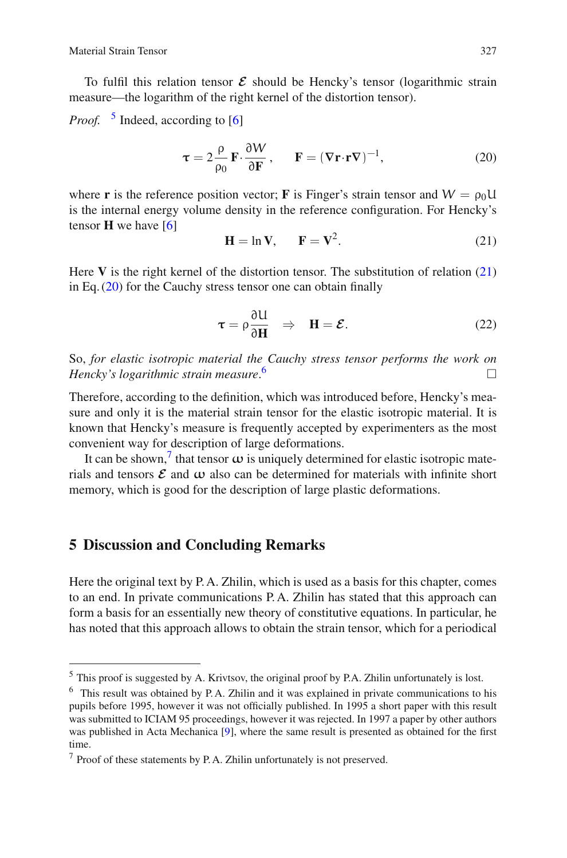To fulfil this relation tensor  $\mathcal E$  should be Hencky's tensor (logarithmic strain measure—the logarithm of the right kernel of the distortion tensor).

<span id="page-6-2"></span>*Proof.* <sup>[5](#page-6-0)</sup> Indeed, according to [\[6](#page-10-4)]

$$
\tau = 2 \frac{\rho}{\rho_0} \mathbf{F} \cdot \frac{\partial W}{\partial \mathbf{F}}, \qquad \mathbf{F} = (\nabla \mathbf{r} \cdot \mathbf{r} \nabla)^{-1}, \tag{20}
$$

<span id="page-6-1"></span>where **r** is the reference position vector; **F** is Finger's strain tensor and  $W = \rho_0 U$ is the internal energy volume density in the reference configuration. For Hencky's tensor **H** we have [\[6](#page-10-4)]

$$
\mathbf{H} = \ln \mathbf{V}, \qquad \mathbf{F} = \mathbf{V}^2. \tag{21}
$$

Here **V** is the right kernel of the distortion tensor. The substitution of relation [\(21\)](#page-6-1) in Eq. [\(20\)](#page-6-2) for the Cauchy stress tensor one can obtain finally

$$
\tau = \rho \frac{\partial U}{\partial H} \quad \Rightarrow \quad H = \mathcal{E}.
$$
 (22)

So, *for elastic isotropic material the Cauchy stress tensor performs the work on Hencky's logarithmic strain measure*.  $\overline{\phantom{a}}$ 

Therefore, according to the definition, which was introduced before, Hencky's measure and only it is the material strain tensor for the elastic isotropic material. It is known that Hencky's measure is frequently accepted by experimenters as the most convenient way for description of large deformations.

It can be shown,<sup>[7](#page-6-4)</sup> that tensor  $\omega$  is uniquely determined for elastic isotropic materials and tensors  $\mathcal E$  and  $\omega$  also can be determined for materials with infinite short memory, which is good for the description of large plastic deformations.

#### **5 Discussion and Concluding Remarks**

Here the original text by P. A. Zhilin, which is used as a basis for this chapter, comes to an end. In private communications P. A. Zhilin has stated that this approach can form a basis for an essentially new theory of constitutive equations. In particular, he has noted that this approach allows to obtain the strain tensor, which for a periodical

<span id="page-6-0"></span><sup>5</sup> This proof is suggested by A. Krivtsov, the original proof by P.A. Zhilin unfortunately is lost.

<span id="page-6-3"></span><sup>6</sup> This result was obtained by P. A. Zhilin and it was explained in private communications to his pupils before 1995, however it was not officially published. In 1995 a short paper with this result was submitted to ICIAM 95 proceedings, however it was rejected. In 1997 a paper by other authors was published in Acta Mechanica [\[9\]](#page-10-5), where the same result is presented as obtained for the first time.

<span id="page-6-4"></span><sup>7</sup> Proof of these statements by P. A. Zhilin unfortunately is not preserved.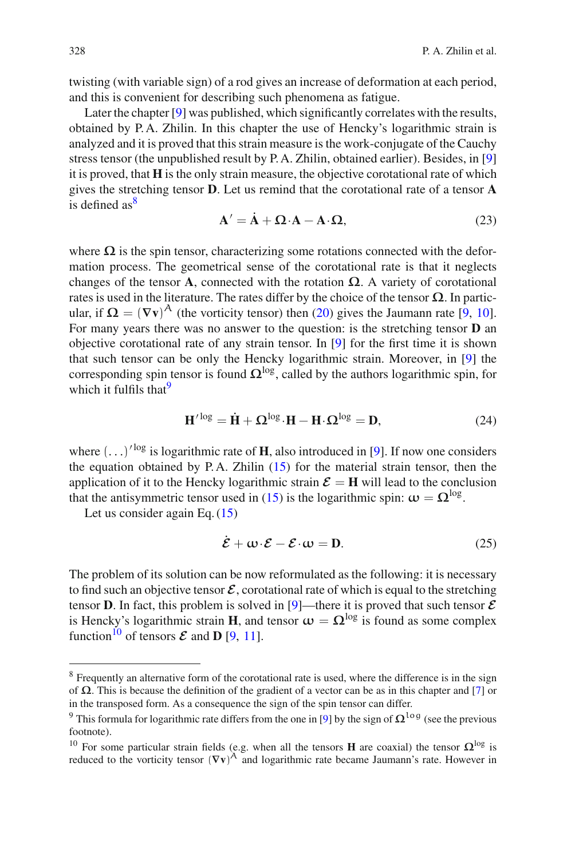twisting (with variable sign) of a rod gives an increase of deformation at each period, and this is convenient for describing such phenomena as fatigue.

Later the chapter [\[9](#page-10-5)] was published, which significantly correlates with the results, obtained by P. A. Zhilin. In this chapter the use of Hencky's logarithmic strain is analyzed and it is proved that this strain measure is the work-conjugate of the Cauchy stress tensor (the unpublished result by P. A. Zhilin, obtained earlier). Besides, in [\[9\]](#page-10-5) it is proved, that **H** is the only strain measure, the objective corotational rate of which gives the stretching tensor **D**. Let us remind that the corotational rate of a tensor **A** is defined  $as^8$ 

$$
\mathbf{A}' = \mathbf{A} + \mathbf{\Omega} \cdot \mathbf{A} - \mathbf{A} \cdot \mathbf{\Omega},\tag{23}
$$

where  $\Omega$  is the spin tensor, characterizing some rotations connected with the deformation process. The geometrical sense of the corotational rate is that it neglects changes of the tensor **A**, connected with the rotation  $\Omega$ . A variety of corotational rates is used in the literature. The rates differ by the choice of the tensor  $\Omega$ . In particular, if  $\Omega = (\nabla \mathbf{v})^{\wedge}$  (the vorticity tensor) then [\(20\)](#page-6-2) gives the Jaumann rate [\[9,](#page-10-5) [10](#page-10-6)]. For many years there was no answer to the question: is the stretching tensor **D** an objective corotational rate of any strain tensor. In [\[9\]](#page-10-5) for the first time it is shown that such tensor can be only the Hencky logarithmic strain. Moreover, in [\[9](#page-10-5)] the corresponding spin tensor is found  $\Omega^{\log}$ , called by the authors logarithmic spin, for which it fulfils that  $9$ 

$$
\mathbf{H}'^{\text{log}} = \dot{\mathbf{H}} + \Omega^{\text{log}} \cdot \mathbf{H} - \mathbf{H} \cdot \Omega^{\text{log}} = \mathbf{D},\tag{24}
$$

where  $(\ldots)^{\text{log}}$  is logarithmic rate of **H**, also introduced in [\[9\]](#page-10-5). If now one considers the equation obtained by P.A. Zhilin  $(15)$  for the material strain tensor, then the application of it to the Hencky logarithmic strain  $\mathcal{E} = H$  will lead to the conclusion that the antisymmetric tensor used in [\(15\)](#page-5-1) is the logarithmic spin:  $\omega = \Omega^{\log}$ .

Let us consider again Eq. [\(15\)](#page-5-1)

$$
\mathcal{E} + \mathbf{\omega} \cdot \mathcal{E} - \mathcal{E} \cdot \mathbf{\omega} = \mathbf{D}.
$$
 (25)

The problem of its solution can be now reformulated as the following: it is necessary to find such an objective tensor  $\mathcal{E}$ , corotational rate of which is equal to the stretching tensor **D**. In fact, this problem is solved in [\[9](#page-10-5)]—there it is proved that such tensor  $\mathcal{E}$ is Hencky's logarithmic strain **H**, and tensor  $\omega = \Omega^{\log}$  is found as some complex function<sup>10</sup> of tensors  $\mathcal E$  and **D** [\[9](#page-10-5), [11\]](#page-10-7).

<span id="page-7-0"></span><sup>&</sup>lt;sup>8</sup> Frequently an alternative form of the corotational rate is used, where the difference is in the sign of **Ω**. This is because the definition of the gradient of a vector can be as in this chapter and [\[7](#page-10-2)] or in the transposed form. As a consequence the sign of the spin tensor can differ.

<span id="page-7-1"></span><sup>&</sup>lt;sup>9</sup> This formula for logarithmic rate differs from the one in [\[9\]](#page-10-5) by the sign of  $\Omega^{\log}$  (see the previous footnote).

<span id="page-7-2"></span><sup>&</sup>lt;sup>10</sup> For some particular strain fields (e.g. when all the tensors **H** are coaxial) the tensor  $\Omega^{\log}$  is reduced to the vorticity tensor  $(\nabla \mathbf{v})^{\mathcal{A}}$  and logarithmic rate became Jaumann's rate. However in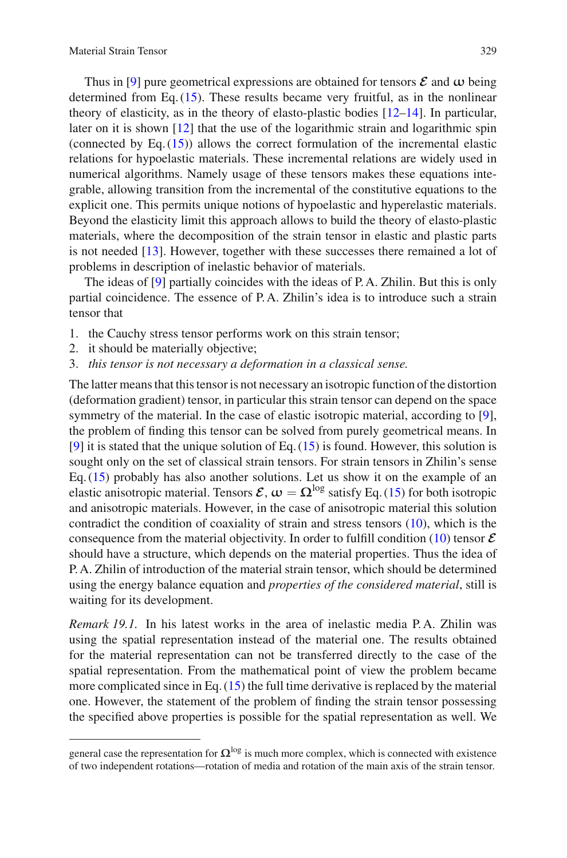Thus in [\[9](#page-10-5)] pure geometrical expressions are obtained for tensors  $\mathcal E$  and  $\omega$  being determined from Eq. [\(15\)](#page-5-1). These results became very fruitful, as in the nonlinear theory of elasticity, as in the theory of elasto-plastic bodies  $[12–14]$  $[12–14]$ . In particular, later on it is shown [\[12](#page-10-8)] that the use of the logarithmic strain and logarithmic spin (connected by Eq.  $(15)$ ) allows the correct formulation of the incremental elastic relations for hypoelastic materials. These incremental relations are widely used in numerical algorithms. Namely usage of these tensors makes these equations integrable, allowing transition from the incremental of the constitutive equations to the explicit one. This permits unique notions of hypoelastic and hyperelastic materials. Beyond the elasticity limit this approach allows to build the theory of elasto-plastic materials, where the decomposition of the strain tensor in elastic and plastic parts is not needed [\[13](#page-10-0)]. However, together with these successes there remained a lot of problems in description of inelastic behavior of materials.

The ideas of [\[9](#page-10-5)] partially coincides with the ideas of P. A. Zhilin. But this is only partial coincidence. The essence of P. A. Zhilin's idea is to introduce such a strain tensor that

- 1. the Cauchy stress tensor performs work on this strain tensor;
- 2. it should be materially objective;
- 3. *this tensor is not necessary a deformation in a classical sense.*

The latter means that this tensor is not necessary an isotropic function of the distortion (deformation gradient) tensor, in particular this strain tensor can depend on the space symmetry of the material. In the case of elastic isotropic material, according to [\[9](#page-10-5)], the problem of finding this tensor can be solved from purely geometrical means. In [\[9\]](#page-10-5) it is stated that the unique solution of Eq. [\(15\)](#page-5-1) is found. However, this solution is sought only on the set of classical strain tensors. For strain tensors in Zhilin's sense Eq. [\(15\)](#page-5-1) probably has also another solutions. Let us show it on the example of an elastic anisotropic material. Tensors  $\mathcal{E}$ ,  $\omega = \Omega^{\log}$  satisfy Eq. [\(15\)](#page-5-1) for both isotropic and anisotropic materials. However, in the case of anisotropic material this solution contradict the condition of coaxiality of strain and stress tensors [\(10\)](#page-4-5), which is the consequence from the material objectivity. In order to fulfill condition  $(10)$  tensor  $\mathcal E$ should have a structure, which depends on the material properties. Thus the idea of P. A. Zhilin of introduction of the material strain tensor, which should be determined using the energy balance equation and *properties of the considered material*, still is waiting for its development.

*Remark 19.1.* In his latest works in the area of inelastic media P.A. Zhilin was using the spatial representation instead of the material one. The results obtained for the material representation can not be transferred directly to the case of the spatial representation. From the mathematical point of view the problem became more complicated since in Eq. [\(15\)](#page-5-1) the full time derivative is replaced by the material one. However, the statement of the problem of finding the strain tensor possessing the specified above properties is possible for the spatial representation as well. We

general case the representation for  $\Omega^{\log}$  is much more complex, which is connected with existence of two independent rotations—rotation of media and rotation of the main axis of the strain tensor.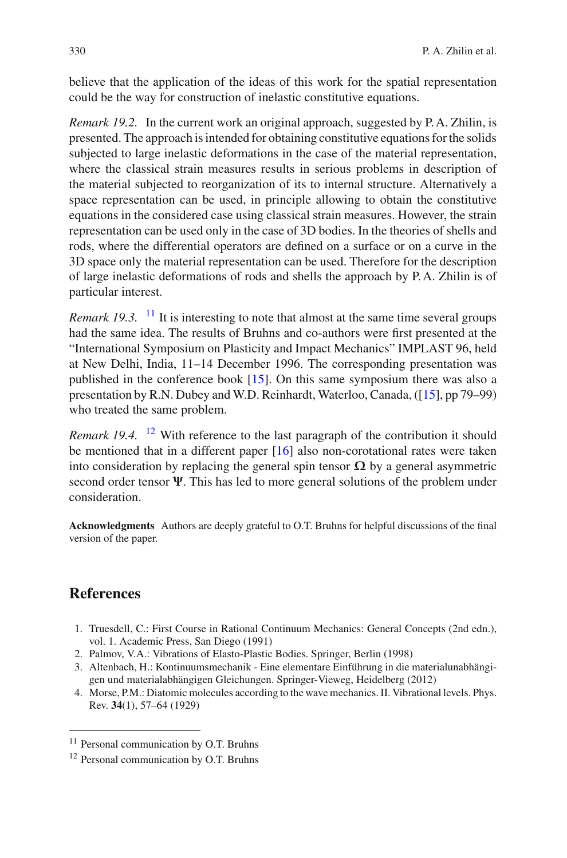believe that the application of the ideas of this work for the spatial representation could be the way for construction of inelastic constitutive equations.

*Remark 19.2.* In the current work an original approach, suggested by P.A. Zhilin, is presented. The approach is intended for obtaining constitutive equations for the solids subjected to large inelastic deformations in the case of the material representation, where the classical strain measures results in serious problems in description of the material subjected to reorganization of its to internal structure. Alternatively a space representation can be used, in principle allowing to obtain the constitutive equations in the considered case using classical strain measures. However, the strain representation can be used only in the case of 3D bodies. In the theories of shells and rods, where the differential operators are defined on a surface or on a curve in the 3D space only the material representation can be used. Therefore for the description of large inelastic deformations of rods and shells the approach by P. A. Zhilin is of particular interest.

*Remark 19.3.* <sup>[11](#page-9-3)</sup> It is interesting to note that almost at the same time several groups had the same idea. The results of Bruhns and co-authors were first presented at the "International Symposium on Plasticity and Impact Mechanics" IMPLAST 96, held at New Delhi, India, 11–14 December 1996. The corresponding presentation was published in the conference book [\[15](#page-10-10)]. On this same symposium there was also a presentation by R.N. Dubey and W.D. Reinhardt, Waterloo, Canada, ([\[15\]](#page-10-10), pp 79–99) who treated the same problem.

*Remark 19.4.* <sup>[12](#page-9-4)</sup> With reference to the last paragraph of the contribution it should be mentioned that in a different paper [\[16](#page-10-11)] also non-corotational rates were taken into consideration by replacing the general spin tensor **Ω** by a general asymmetric second order tensor **Ψ**. This has led to more general solutions of the problem under consideration.

**Acknowledgments** Authors are deeply grateful to O.T. Bruhns for helpful discussions of the final version of the paper.

## **References**

- <span id="page-9-0"></span>1. Truesdell, C.: First Course in Rational Continuum Mechanics: General Concepts (2nd edn.), vol. 1. Academic Press, San Diego (1991)
- 2. Palmov, V.A.: Vibrations of Elasto-Plastic Bodies. Springer, Berlin (1998)
- <span id="page-9-1"></span>3. Altenbach, H.: Kontinuumsmechanik - Eine elementare Einführung in die materialunabhängigen und materialabhängigen Gleichungen. Springer-Vieweg, Heidelberg (2012)
- <span id="page-9-2"></span>4. Morse, P.M.: Diatomic molecules according to the wave mechanics. II. Vibrational levels. Phys. Rev. **34**(1), 57–64 (1929)

<span id="page-9-3"></span><sup>&</sup>lt;sup>11</sup> Personal communication by O.T. Bruhns

<span id="page-9-4"></span><sup>12</sup> Personal communication by O.T. Bruhns